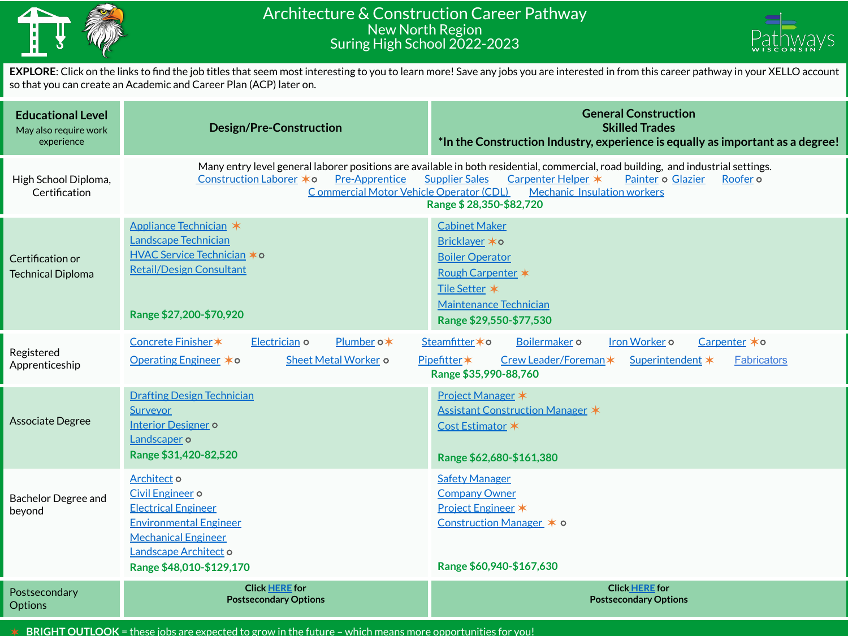

## Architecture & Construction Career Pathway New North Region Suring High School 2022-2023



**EXPLORE**: Click on the links to find the job titles that seem most interesting to you to learn more! Save any jobs you are interested in from this career pathway in your XELLO account so that you can create an Academic and Career Plan (ACP) later on.

| <b>Educational Level</b><br>May also require work<br>experience | <b>Design/Pre-Construction</b>                                                                                                                                                                                                                                                                                                                                                    | <b>General Construction</b><br><b>Skilled Trades</b><br>*In the Construction Industry, experience is equally as important as a degree!                                          |  |
|-----------------------------------------------------------------|-----------------------------------------------------------------------------------------------------------------------------------------------------------------------------------------------------------------------------------------------------------------------------------------------------------------------------------------------------------------------------------|---------------------------------------------------------------------------------------------------------------------------------------------------------------------------------|--|
| High School Diploma,<br>Certification                           | Many entry level general laborer positions are available in both residential, commercial, road building, and industrial settings.<br>Construction Laborer *0<br><b>Pre-Apprentice</b><br><b>Supplier Sales</b><br>Carpenter Helper *<br>Painter o Glazier<br>Roofer o<br>Commercial Motor Vehicle Operator (CDL)<br><b>Mechanic Insulation workers</b><br>Range \$28,350-\$82,720 |                                                                                                                                                                                 |  |
| Certification or<br><b>Technical Diploma</b>                    | Appliance Technician *<br><b>Landscape Technician</b><br><b>HVAC Service Technician *o</b><br><b>Retail/Design Consultant</b><br>Range \$27,200-\$70,920                                                                                                                                                                                                                          | <b>Cabinet Maker</b><br><b>Bricklayer ∗o</b><br><b>Boiler Operator</b><br><b>Rough Carpenter *</b><br>Tile Setter *<br><b>Maintenance Technician</b><br>Range \$29,550-\$77,530 |  |
| Registered<br>Apprenticeship                                    | Concrete Finisher*<br>Electrician o<br>Plumber o*<br>Iron Worker o<br>Steamfitter * o<br>Boilermaker o<br>Carpenter *o<br>Operating Engineer *o<br>Sheet Metal Worker o<br>Pipefitter*<br>Crew Leader/Foreman*<br>Superintendent *<br><b>Fabricators</b><br>Range \$35,990-88,760                                                                                                 |                                                                                                                                                                                 |  |
| <b>Associate Degree</b>                                         | <b>Drafting Design Technician</b><br><b>Surveyor</b><br><b>Interior Designer o</b><br>Landscaper o<br>Range \$31,420-82,520                                                                                                                                                                                                                                                       | Project Manager *<br>Assistant Construction Manager *<br>Cost Estimator *<br>Range \$62,680-\$161,380                                                                           |  |
| <b>Bachelor Degree and</b><br>beyond                            | Architect o<br>Civil Engineer o<br><b>Electrical Engineer</b><br><b>Environmental Engineer</b><br><b>Mechanical Engineer</b><br>Landscape Architect o<br>Range \$48,010-\$129,170                                                                                                                                                                                                 | <b>Safety Manager</b><br><b>Company Owner</b><br>Project Engineer *<br>Construction Manager * o<br>Range \$60,940-\$167,630                                                     |  |
| Postsecondary<br><b>Options</b>                                 | <b>Click HERE for</b><br><b>Postsecondary Options</b>                                                                                                                                                                                                                                                                                                                             | <b>Click HERE for</b><br><b>Postsecondary Options</b>                                                                                                                           |  |

✶ **BRIGHT OUTLOOK** = these jobs are expected to grow in the future – which means more opportunities for you!